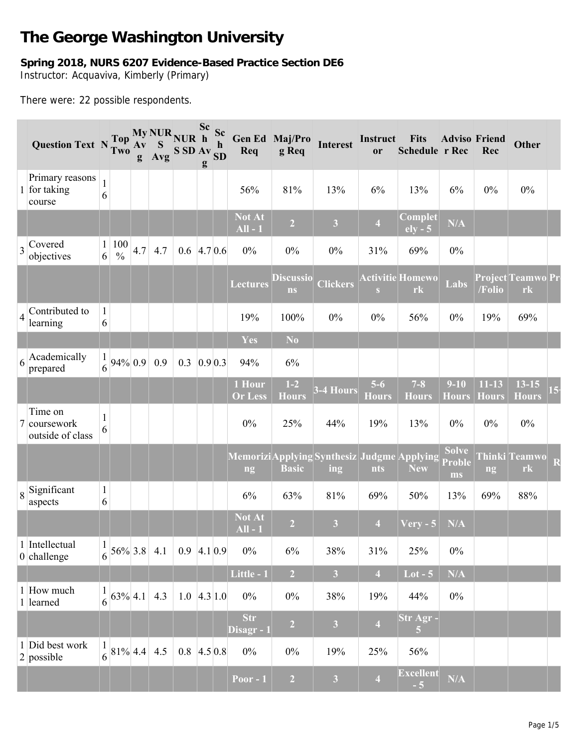# **The George Washington University**

# **Spring 2018, NURS 6207 Evidence-Based Practice Section DE6** Instructor: Acquaviva, Kimberly (Primary)

There were: 22 possible respondents.

|                | Question Text N Two                         |                                |                            | $A\mathbf{v}$<br>g | S<br>Avg                  | My NUR NUR h<br>S SD Av SD | Sc<br>g | Sc<br>$\mathbf h$ | Req                                              | Gen Ed Maj/Pro<br>g Req       | <b>Interest</b>         | Instruct<br>or        | <b>Fits</b><br>Schedule r Rec | <b>Adviso Friend</b>                | Rec                       | <b>Other</b>              |
|----------------|---------------------------------------------|--------------------------------|----------------------------|--------------------|---------------------------|----------------------------|---------|-------------------|--------------------------------------------------|-------------------------------|-------------------------|-----------------------|-------------------------------|-------------------------------------|---------------------------|---------------------------|
|                | Primary reasons<br>1 for taking<br>course   | $\mathbf{1}$<br>6              |                            |                    |                           |                            |         |                   | 56%                                              | 81%                           | 13%                     | 6%                    | 13%                           | 6%                                  | $0\%$                     | $0\%$                     |
|                |                                             |                                |                            |                    |                           |                            |         |                   | <b>Not At</b><br>$All - 1$                       | $\overline{2}$                | $\overline{\mathbf{3}}$ | $\overline{4}$        | Complet<br>$ely - 5$          | N/A                                 |                           |                           |
|                | $3$ Covered<br>objectives                   | $\mathbf{1}$<br>6 <sup>1</sup> | 100<br>$\frac{0}{0}$       | 4.7                | 4.7                       | $0.6$ 4.7 0.6              |         |                   | $0\%$                                            | 0%                            | $0\%$                   | 31%                   | 69%                           | $0\%$                               |                           |                           |
|                |                                             |                                |                            |                    |                           |                            |         |                   | <b>Lectures</b>                                  | <b>Discussio</b><br><b>ns</b> | <b>Clickers</b>         | S                     | <b>Activitie Homewo</b><br>rk | Labs                                | /Folio                    | Project Teamwo Pr<br>rk   |
| $\overline{4}$ | Contributed to<br>learning                  | $\mathbf{1}$<br>6              |                            |                    |                           |                            |         |                   | 19%                                              | 100%                          | $0\%$                   | 0%                    | 56%                           | 0%                                  | 19%                       | 69%                       |
|                |                                             |                                |                            |                    |                           |                            |         |                   | Yes                                              | N <sub>o</sub>                |                         |                       |                               |                                     |                           |                           |
| 6              | Academically<br>prepared                    | 1<br>6                         | 94% 0.9                    |                    | 0.9                       | 0.3                        | 0.90.3  |                   | 94%                                              | 6%                            |                         |                       |                               |                                     |                           |                           |
|                |                                             |                                |                            |                    |                           |                            |         |                   | 1 Hour<br><b>Or Less</b>                         | $1-2$<br><b>Hours</b>         | 3-4 Hours               | $5-6$<br><b>Hours</b> | $7 - 8$<br><b>Hours</b>       | $9 - 10$<br><b>Hours</b>            | $11 - 13$<br><b>Hours</b> | $13 - 15$<br><b>Hours</b> |
|                | Time on<br>7 coursework<br>outside of class | $\mathbf 1$<br>6               |                            |                    |                           |                            |         |                   | $0\%$                                            | 25%                           | 44%                     | 19%                   | 13%                           | 0%                                  | $0\%$                     | $0\%$                     |
|                |                                             |                                |                            |                    |                           |                            |         |                   | MemoriziApplying Synthesiz Judgme Applying<br>ng | <b>Basic</b>                  | ing                     | nts                   | <b>New</b>                    | <b>Solve</b><br><b>Proble</b><br>ms | ng                        | Thinki Teamwo<br>rk       |
|                | $8$ Significant<br>aspects                  | $\mathbf{1}$<br>6              |                            |                    |                           |                            |         |                   | 6%                                               | 63%                           | 81%                     | 69%                   | 50%                           | 13%                                 | 69%                       | 88%                       |
|                |                                             |                                |                            |                    |                           |                            |         |                   | <b>Not At</b><br>$All - 1$                       | $\overline{2}$                | $\overline{\mathbf{3}}$ | $\overline{4}$        | <b>Very - 5</b>               | N/A                                 |                           |                           |
|                | 1 Intellectual<br>$0$ challenge             | $\mathbf{1}$                   |                            |                    | $\frac{1}{6}$ 56% 3.8 4.1 | $0.9$ 4.1 0.9              |         |                   | $0\%$                                            | 6%                            | 38%                     | 31%                   | 25%                           | $0\%$                               |                           |                           |
|                |                                             |                                |                            |                    |                           |                            |         |                   | Little - 1                                       | $\overline{2}$                | $\overline{\mathbf{3}}$ | $\overline{4}$        | $Lot - 5$                     | N/A                                 |                           |                           |
|                | 1 How much<br>1 learned                     | $\mathbf{1}$                   | $\frac{1}{6}$ 63% 4.1      |                    | 4.3                       | $1.0 \, 4.3 \, 1.0$        |         |                   | $0\%$                                            | $0\%$                         | 38%                     | 19%                   | 44%                           | $0\%$                               |                           |                           |
|                |                                             |                                |                            |                    |                           |                            |         |                   | <b>Str</b><br>Disagr - 1                         | $\overline{2}$                | $\overline{\mathbf{3}}$ | $\overline{4}$        | Str Agr -<br>$\overline{5}$   |                                     |                           |                           |
|                | 1 Did best work<br>$2$ possible             |                                | $\frac{1}{6}$  81% 4.4 4.5 |                    |                           | $0.8$ 4.5 0.8              |         |                   | $0\%$                                            | $0\%$                         | 19%                     | 25%                   | 56%                           |                                     |                           |                           |
|                |                                             |                                |                            |                    |                           |                            |         |                   | Poor - $1$                                       | $\overline{2}$                | $\overline{\mathbf{3}}$ | $\overline{4}$        | <b>Excellent</b><br>$-5$      | N/A                                 |                           |                           |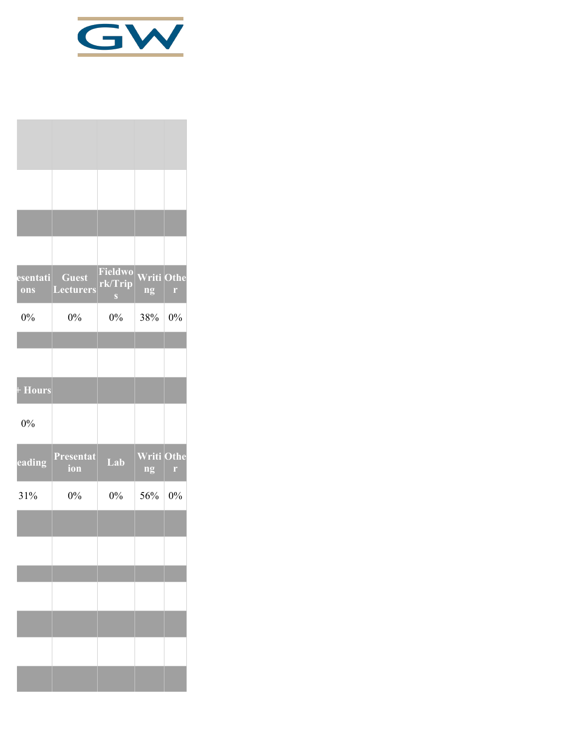

| esentati<br>ons | <b>Guest</b><br><b>Lecturers</b> | Fieldwo<br>rk/Trip<br>$\mathbf{S}$ | <b>Writi Othe</b><br>ng | $\Gamma$ |
|-----------------|----------------------------------|------------------------------------|-------------------------|----------|
| $0\%$           | $0\%$                            | 0%                                 | 38%                     | 0%       |
|                 |                                  |                                    |                         |          |
| + Hours         |                                  |                                    |                         |          |
| 0%              |                                  |                                    |                         |          |
| eading          | Presentat<br>ion                 | Lab                                | <b>Writi Othe</b><br>ng | r        |
| 31%             | $0\%$                            | $0\%$                              | 56%                     | $0\%$    |
|                 |                                  |                                    |                         |          |
|                 |                                  |                                    |                         |          |
|                 |                                  |                                    |                         |          |
|                 |                                  |                                    |                         |          |
|                 |                                  |                                    |                         |          |
|                 |                                  |                                    |                         |          |
|                 |                                  |                                    |                         |          |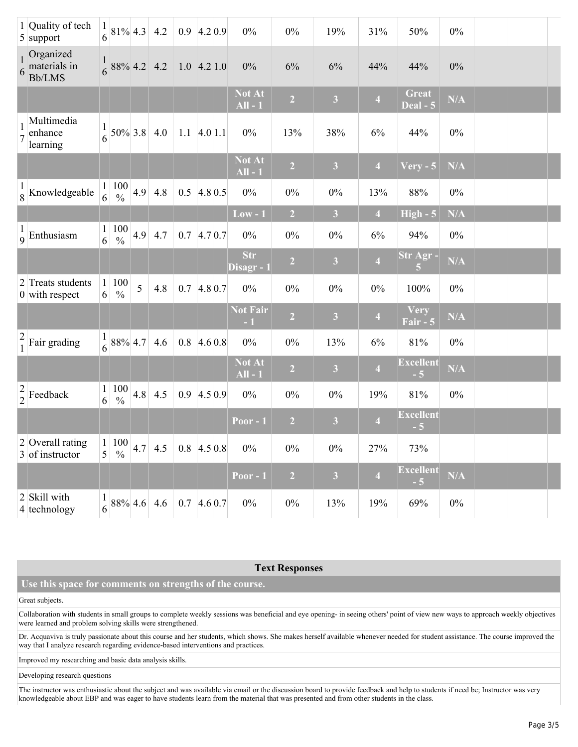|               | 1 Quality of tech<br>$5$ support                  | 1<br>6            | $81\%$ 4.3 4.2                                                               |     |             | $0.9$ 4.2 0.9       |            | $0\%$                      | $0\%$          | 19%                     | 31%                     | 50%                      | $0\%$ |  |  |
|---------------|---------------------------------------------------|-------------------|------------------------------------------------------------------------------|-----|-------------|---------------------|------------|----------------------------|----------------|-------------------------|-------------------------|--------------------------|-------|--|--|
|               | Organized<br>$\frac{1}{6}$ materials in<br>Bb/LMS |                   | $\frac{1}{6}$ 88% 4.2 4.2                                                    |     |             | $1.0$ 4.2 1.0       |            | $0\%$                      | 6%             | 6%                      | 44%                     | 44%                      | $0\%$ |  |  |
|               |                                                   |                   |                                                                              |     |             |                     |            | <b>Not At</b><br>$All - 1$ | $\overline{2}$ | 3 <sup>1</sup>          | $\overline{\mathbf{4}}$ | <b>Great</b><br>Deal - 5 | N/A   |  |  |
|               | Multimedia<br>enhance<br>learning                 | 1<br>6            |                                                                              |     | 50% 3.8 4.0 | $1.1 \, 4.0 \, 1.1$ |            | $0\%$                      | 13%            | 38%                     | 6%                      | 44%                      | $0\%$ |  |  |
|               |                                                   |                   |                                                                              |     |             |                     |            | <b>Not At</b><br>$All - 1$ | $\overline{2}$ | $\overline{\mathbf{3}}$ | $\overline{\mathbf{4}}$ | $V$ ery - 5              | N/A   |  |  |
|               | $\frac{1}{8}$ Knowledgeable                       |                   | $\frac{1}{6}$ $\frac{100}{\%}$                                               | 4.9 | $4.8\,$     | $0.5$ 4.8 0.5       |            | $0\%$                      | $0\%$          | $0\%$                   | 13%                     | 88%                      | $0\%$ |  |  |
|               |                                                   |                   |                                                                              |     |             |                     |            | $Low - 1$                  | $\overline{2}$ | 3 <sup>1</sup>          | $\overline{4}$          | $High - 5$               | N/A   |  |  |
|               | $\frac{1}{9}$ Enthusiasm                          | $1\vert$<br>6     | 100<br>$\frac{0}{0}$                                                         | 4.9 | 4.7         | 0.7                 | 4.70.7     | $0\%$                      | $0\%$          | $0\%$                   | $6\%$                   | 94%                      | $0\%$ |  |  |
|               |                                                   |                   |                                                                              |     |             |                     |            | <b>Str</b><br>Disagr - 1   | $\overline{2}$ | $\mathbf{3}$            | $\overline{\mathbf{4}}$ | Str Agr-<br>5            | N/A   |  |  |
|               | 2 Treats students<br>$0$ with respect             | $\mathbf{1}$<br>6 | 100<br>$\frac{0}{0}$                                                         | 5   | 4.8         | 0.7                 | $4.8\,0.7$ | $0\%$                      | $0\%$          | $0\%$                   | $0\%$                   | 100%                     | $0\%$ |  |  |
|               |                                                   |                   |                                                                              |     |             |                     |            | <b>Not Fair</b><br>$-1$    | $\overline{2}$ | $\overline{\mathbf{3}}$ | $\overline{\mathbf{4}}$ | Very<br>Fair - 5         | N/A   |  |  |
| $\frac{2}{1}$ | Fair grading                                      | $\frac{1}{6}$     | 88% 4.7                                                                      |     | 4.6         | $0.8$ 4.6 0.8       |            | $0\%$                      | $0\%$          | 13%                     | $6\%$                   | $81\%$                   | $0\%$ |  |  |
|               |                                                   |                   |                                                                              |     |             |                     |            | Not At<br>$All - 1$        | $\overline{2}$ | $\mathbf{3}$            | $\overline{\mathbf{4}}$ | <b>Excellent</b><br>$-5$ | N/A   |  |  |
|               | $\frac{2}{2}$ Feedback                            | 1<br>$6\vert$     | $\frac{100}{\%}$                                                             | 4.8 | 4.5         | 0.9                 | 4.50.9     | $0\%$                      | $0\%$          | $0\%$                   | 19%                     | $81\%$                   | $0\%$ |  |  |
|               |                                                   |                   |                                                                              |     |             |                     |            | Poor - 1                   | $\overline{2}$ | $\overline{\mathbf{3}}$ | $\overline{4}$          | <b>Excellent</b><br>$-5$ |       |  |  |
|               | $2$ Overall rating<br>3 of instructor             | 5                 | $\begin{array}{ c c }\hline 1&100&4.7 \\\hline \end{array}$<br>$\frac{0}{0}$ |     | 4.5         | $0.8$ 4.5 0.8       |            | $0\%$                      | $0\%$          | $0\%$                   | 27%                     | 73%                      |       |  |  |
|               |                                                   |                   |                                                                              |     |             |                     |            | Poor $-1$                  | $\overline{2}$ | $\overline{\mathbf{3}}$ | $\overline{\mathbf{4}}$ | <b>Excellent</b><br>$-5$ | N/A   |  |  |
|               | 2 Skill with<br>4 technology                      | 6                 |                                                                              |     | 88% 4.6 4.6 | $0.7 \, 4.6 \, 0.7$ |            | $0\%$                      | $0\%$          | 13%                     | 19%                     | 69%                      | $0\%$ |  |  |

# **Text Responses**

# **Use this space for comments on strengths of the course.**

### Great subjects.

Collaboration with students in small groups to complete weekly sessions was beneficial and eye opening- in seeing others' point of view new ways to approach weekly objectives were learned and problem solving skills were strengthened.

Dr. Acquaviva is truly passionate about this course and her students, which shows. She makes herself available whenever needed for student assistance. The course improved the way that I analyze research regarding evidence-based interventions and practices.

Improved my researching and basic data analysis skills.

Developing research questions

The instructor was enthusiastic about the subject and was available via email or the discussion board to provide feedback and help to students if need be; Instructor was very knowledgeable about EBP and was eager to have students learn from the material that was presented and from other students in the class.